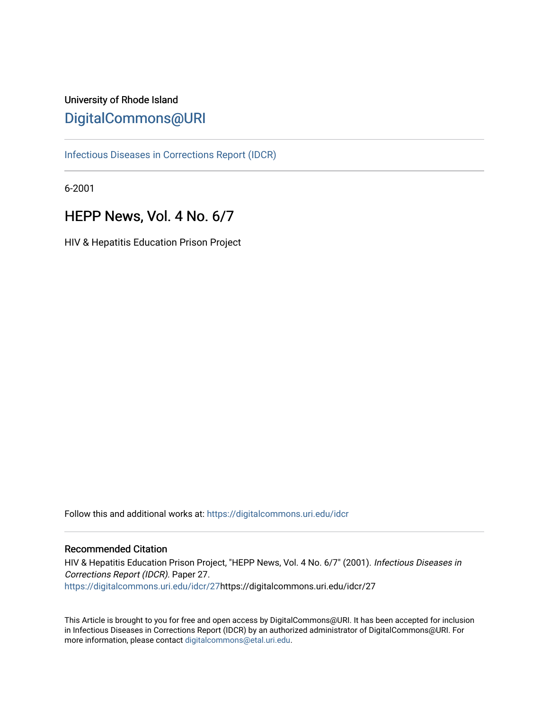## University of Rhode Island [DigitalCommons@URI](https://digitalcommons.uri.edu/)

[Infectious Diseases in Corrections Report \(IDCR\)](https://digitalcommons.uri.edu/idcr)

6-2001

# HEPP News, Vol. 4 No. 6/7

HIV & Hepatitis Education Prison Project

Follow this and additional works at: [https://digitalcommons.uri.edu/idcr](https://digitalcommons.uri.edu/idcr?utm_source=digitalcommons.uri.edu%2Fidcr%2F27&utm_medium=PDF&utm_campaign=PDFCoverPages)

#### Recommended Citation

HIV & Hepatitis Education Prison Project, "HEPP News, Vol. 4 No. 6/7" (2001). Infectious Diseases in Corrections Report (IDCR). Paper 27. [https://digitalcommons.uri.edu/idcr/27h](https://digitalcommons.uri.edu/idcr/27?utm_source=digitalcommons.uri.edu%2Fidcr%2F27&utm_medium=PDF&utm_campaign=PDFCoverPages)ttps://digitalcommons.uri.edu/idcr/27

This Article is brought to you for free and open access by DigitalCommons@URI. It has been accepted for inclusion in Infectious Diseases in Corrections Report (IDCR) by an authorized administrator of DigitalCommons@URI. For more information, please contact [digitalcommons@etal.uri.edu.](mailto:digitalcommons@etal.uri.edu)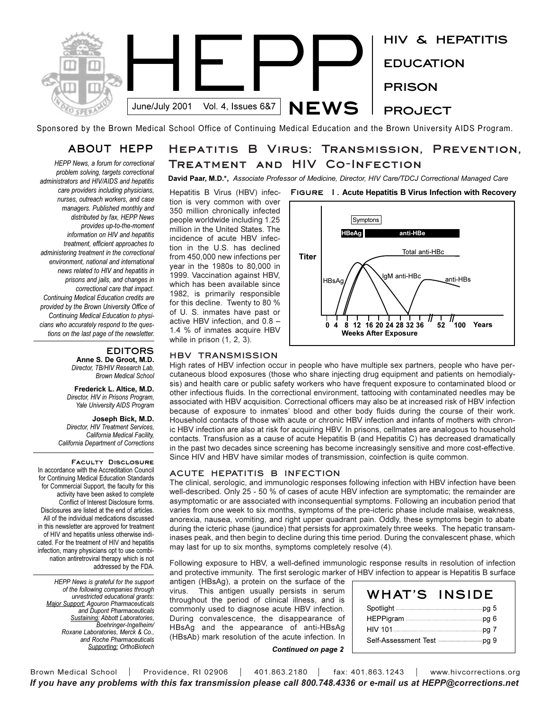

Sponsored by the Brown Medical School Office of Continuing Medical Education and the Brown University AIDS Program.

### **ABOUT HEPP**

*HEPP News, a forum for correctional problem solving, targets correctional administrators and HIV/AIDS and hepatitis care providers including physicians, nurses, outreach workers, and case managers. Published monthly and distributed by fax, HEPP News provides up-to-the-moment information on HIV and hepatitis treatment, efficient approaches to administering treatment in the correctional environment, national and international news related to HIV and hepatitis in prisons and jails, and changes in correctional care that impact. Continuing Medical Education credits are provided by the Brown University Office of Continuing Medical Education to physicians who accurately respond to the questions on the last page of the newsletter.* 

#### **EDITORS**

**Anne S. De Groot, M.D.** *Director, TB/HIV Research Lab, Brown Medical School*

**Frederick L. Altice, M.D.** *Director, HIV in Prisons Program, Yale University AIDS Program*

**Joseph Bick, M.D.** *Director, HIV Treatment Services, California Medical Facility, California Department of Corrections*

**Faculty Disclosure**  In accordance with the Accreditation Council for Continuing Medical Education Standards for Commercial Support, the faculty for this activity have been asked to complete Conflict of Interest Disclosure forms. Disclosures are listed at the end of articles. All of the individual medications discussed in this newsletter are approved for treatment of HIV and hepatitis unless otherwise indicated. For the treatment of HIV and hepatitis infection, many physicians opt to use combination antiretroviral therapy which is not addressed by the FDA.

*HEPP News is grateful for the support of the following companies through unrestricted educational grants: Major Support: Agouron Pharmaceuticals and Dupont Pharmaceuticals Sustaining: Abbott Laboratories, Boehringer-Ingelheim/ Roxane Laboratories, Merck & Co., and Roche Pharmaceuticals Supporting: OrthoBiotech*

### **Hepatitis B Virus: Transmission, Prevention, Treatment and HIV Co-Infection**

**David Paar, M.D.\*,** *Associate Professor of Medicine, Director, HIV Care/TDCJ Correctional Managed Care*

Hepatitis B Virus (HBV) infection is very common with over 350 million chronically infected people worldwide including 1.25 million in the United States. The incidence of acute HBV infection in the U.S. has declined from 450,000 new infections per year in the 1980s to 80,000 in 1999. Vaccination against HBV, which has been available since 1982, is primarily responsible for this decline. Twenty to 80 % of U. S. inmates have past or active HBV infection, and 0.8 1.4 % of inmates acquire HBV while in prison (1, 2, 3).

#### **HBV TRANSMISSION**

High rates of HBV infection occur in people who have multiple sex partners, people who have percutaneous blood exposures (those who share injecting drug equipment and patients on hemodialysis) and health care or public safety workers who have frequent exposure to contaminated blood or other infectious fluids. In the correctional environment, tattooing with contaminated needles may be associated with HBV acquisition. Correctional officers may also be at increased risk of HBV infection because of exposure to inmates' blood and other body fluids during the course of their work. Household contacts of those with acute or chronic HBV infection and infants of mothers with chronic HBV infection are also at risk for acquiring HBV. In prisons, cellmates are analogous to household contacts. Transfusion as a cause of acute Hepatitis B (and Hepatitis C) has decreased dramatically in the past two decades since screening has become increasingly sensitive and more cost-effective. Since HIV and HBV have similar modes of transmission, coinfection is quite common.

#### **ACUTE HEPATITIS B INFECTION**

The clinical, serologic, and immunologic responses following infection with HBV infection have been well-described. Only 25 - 50 % of cases of acute HBV infection are symptomatic; the remainder are asymptomatic or are associated with inconsequential symptoms. Following an incubation period that varies from one week to six months, symptoms of the pre-icteric phase include malaise, weakness, anorexia, nausea, vomiting, and right upper quadrant pain. Oddly, these symptoms begin to abate during the icteric phase (jaundice) that persists for approximately three weeks. The hepatic transaminases peak, and then begin to decline during this time period. During the convalescent phase, which may last for up to six months, symptoms completely resolve (4).

Following exposure to HBV, a well-defined immunologic response results in resolution of infection and protective immunity. The first serologic marker of HBV infection to appear is Hepatitis B surface

antigen (HBsAg), a protein on the surface of the virus. This antigen usually persists in serum throughout the period of clinical illness, and is commonly used to diagnose acute HBV infection. During convalescence, the disappearance of HBsAg and the appearance of anti-HBsAg (HBsAb) mark resolution of the acute infection. In

| WHAT'S | <b>INSIDE</b> |
|--------|---------------|
|        |               |
|        |               |
|        |               |
|        |               |

*Continued on page 2*

**Figure 1. Acute Hepatitis B Virus Infection with Recovery**



Brown Medical School | Providence, RI 02906 | 401.863.2180 | fax: 401.863.1243 | www.hivcorrections.org *If you have any problems with this fax transmission please call 800.748.4336 or e-mail us at HEPP@corrections.net*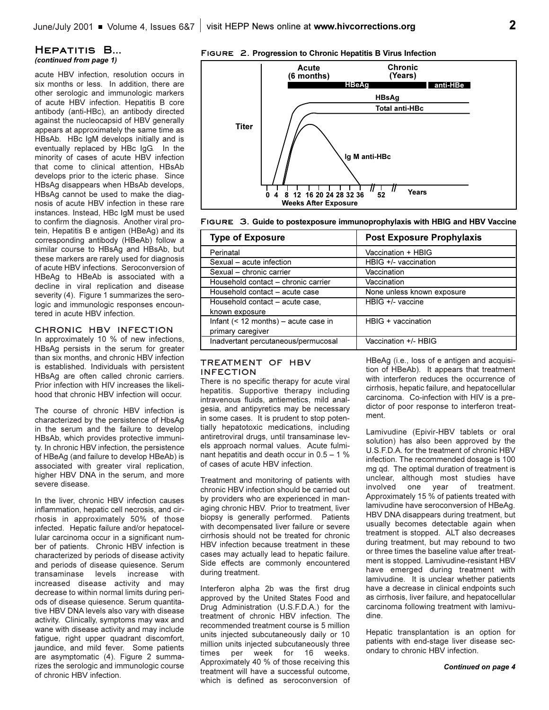#### **Hepatitis B...** *(continued from page 1)*

acute HBV infection, resolution occurs in six months or less. In addition, there are other serologic and immunologic markers of acute HBV infection. Hepatitis B core antibody (anti-HBc), an antibody directed against the nucleocapsid of HBV generally appears at approximately the same time as HBsAb. HBc IgM develops initially and is eventually replaced by HBc IgG. In the minority of cases of acute HBV infection that come to clinical attention, HBsAb develops prior to the icteric phase. Since HBsAg disappears when HBsAb develops, HBsAg cannot be used to make the diagnosis of acute HBV infection in these rare instances. Instead, HBc IgM must be used to confirm the diagnosis. Another viral protein, Hepatitis B e antigen (HBeAg) and its corresponding antibody (HBeAb) follow a similar course to HBsAg and HBsAb, but these markers are rarely used for diagnosis of acute HBV infections. Seroconversion of HBeAg to HBeAb is associated with a decline in viral replication and disease severity (4). Figure 1 summarizes the serologic and immunologic responses encountered in acute HBV infection.

#### **CHRONIC HBV INFECTION**

In approximately 10 % of new infections, HBsAg persists in the serum for greater than six months, and chronic HBV infection is established. Individuals with persistent HBsAg are often called chronic carriers. Prior infection with HIV increases the likelihood that chronic HBV infection will occur.

The course of chronic HBV infection is characterized by the persistence of HbsAg in the serum and the failure to develop HBsAb, which provides protective immunity. In chronic HBV infection, the persistence of HBeAg (and failure to develop HBeAb) is associated with greater viral replication, higher HBV DNA in the serum, and more severe disease.

In the liver, chronic HBV infection causes inflammation, hepatic cell necrosis, and cirrhosis in approximately 50% of those infected. Hepatic failure and/or hepatocellular carcinoma occur in a significant number of patients. Chronic HBV infection is characterized by periods of disease activity and periods of disease quiesence. Serum transaminase levels increase with increased disease activity and may decrease to within normal limits during periods of disease quiesence. Serum quantitative HBV DNA levels also vary with disease activity. Clinically, symptoms may wax and wane with disease activity and may include fatigue, right upper quadrant discomfort, jaundice, and mild fever. Some patients are asymptomatic (4). Figure 2 summarizes the serologic and immunologic course of chronic HBV infection.

#### **Figure 2. Progression to Chronic Hepatitis B Virus Infection**





| <b>Type of Exposure</b>                 | <b>Post Exposure Prophylaxis</b> |
|-----------------------------------------|----------------------------------|
| Perinatal                               | Vaccination + HBIG               |
| Sexual - acute infection                | HBIG $+/-$ vaccination           |
| Sexual - chronic carrier                | Vaccination                      |
| Household contact - chronic carrier     | Vaccination                      |
| Household contact - acute case          | None unless known exposure       |
| Household contact – acute case,         | HBIG +/- vaccine                 |
| known exposure                          |                                  |
| Infant $($ < 12 months) – acute case in | $H BIG + vacuum$                 |
| primary caregiver                       |                                  |
| Inadvertant percutaneous/permucosal     | Vaccination +/- HBIG             |

#### **TREATMENT OF HBV INFECTION**

There is no specific therapy for acute viral hepatitis. Supportive therapy including intravenous fluids, antiemetics, mild analgesia, and antipyretics may be necessary in some cases. It is prudent to stop potentially hepatotoxic medications, including antiretroviral drugs, until transaminase levels approach normal values. Acute fulminant hepatitis and death occur in  $0.5 - 1$  % of cases of acute HBV infection.

Treatment and monitoring of patients with chronic HBV infection should be carried out by providers who are experienced in managing chronic HBV. Prior to treatment, liver biopsy is generally performed. Patients with decompensated liver failure or severe cirrhosis should not be treated for chronic HBV infection because treatment in these cases may actually lead to hepatic failure. Side effects are commonly encountered during treatment.

Interferon alpha 2b was the first drug approved by the United States Food and Drug Administration (U.S.F.D.A.) for the treatment of chronic HBV infection. The recommended treatment course is 5 million units injected subcutaneously daily or 10 million units injected subcutaneously three times per week for 16 weeks. Approximately 40 % of those receiving this treatment will have a successful outcome, which is defined as seroconversion of HBeAg (i.e., loss of e antigen and acquisition of HBeAb). It appears that treatment with interferon reduces the occurrence of cirrhosis, hepatic failure, and hepatocellular carcinoma. Co-infection with HIV is a predictor of poor response to interferon treatment.

Lamivudine (Epivir-HBV tablets or oral solution) has also been approved by the U.S.F.D.A. for the treatment of chronic HBV infection. The recommended dosage is 100 mg qd. The optimal duration of treatment is unclear, although most studies have involved one year of treatment. Approximately 15 % of patients treated with lamivudine have seroconversion of HBeAg. HBV DNA disappears during treatment, but usually becomes detectable again when treatment is stopped. ALT also decreases during treatment, but may rebound to two or three times the baseline value after treatment is stopped. Lamivudine-resistant HBV have emerged during treatment with lamivudine. It is unclear whether patients have a decrease in clinical endpoints such as cirrhosis, liver failure, and hepatocellular carcinoma following treatment with lamivudine.

Hepatic transplantation is an option for patients with end-stage liver disease secondary to chronic HBV infection.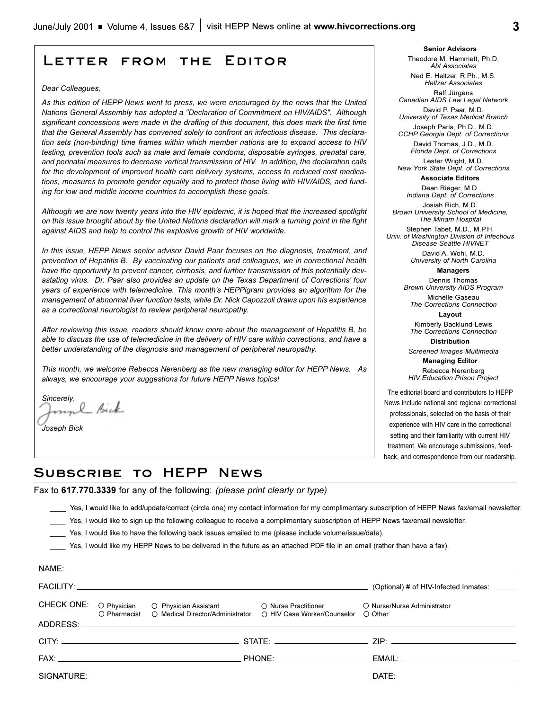### **Letter from the Editor**

#### *Dear Colleagues,*

*As this edition of HEPP News went to press, we were encouraged by the news that the United Nations General Assembly has adopted a "Declaration of Commitment on HIV/AIDS". Although significant concessions were made in the drafting of this document, this does mark the first time that the General Assembly has convened solely to confront an infectious disease. This declaration sets (non-binding) time frames within which member nations are to expand access to HIV testing, prevention tools such as male and female condoms, disposable syringes, prenatal care, and perinatal measures to decrease vertical transmission of HIV. In addition, the declaration calls for the development of improved health care delivery systems, access to reduced cost medications, measures to promote gender equality and to protect those living with HIV/AIDS, and funding for low and middle income countries to accomplish these goals.* 

*Although we are now twenty years into the HIV epidemic, it is hoped that the increased spotlight on this issue brought about by the United Nations declaration will mark a turning point in the fight against AIDS and help to control the explosive growth of HIV worldwide.* 

*In this issue, HEPP News senior advisor David Paar focuses on the diagnosis, treatment, and prevention of Hepatitis B. By vaccinating our patients and colleagues, we in correctional health have the opportunity to prevent cancer, cirrhosis, and further transmission of this potentially devastating virus. Dr. Paar also provides an update on the Texas Department of Corrections four years of experience with telemedicine. This month's HEPPigram provides an algorithm for the management of abnormal liver function tests, while Dr. Nick Capozzoli draws upon his experience as a correctional neurologist to review peripheral neuropathy.* 

*After reviewing this issue, readers should know more about the management of Hepatitis B, be able to discuss the use of telemedicine in the delivery of HIV care within corrections, and have a better understanding of the diagnosis and management of peripheral neuropathy.*

*This month, we welcome Rebecca Nerenberg as the new managing editor for HEPP News. As always, we encourage your suggestions for future HEPP News topics!* 

*Sincerely,* l Bick

*Joseph Bick* 

NAME:

**Senior Advisors** Theodore M. Hammett, Ph.D. *Abt Associates*

Ned E. Heltzer, R.Ph., M.S. *Heltzer Associates* Ralf Jürgens

*Canadian AIDS Law Legal Network* David P. Paar, M.D.

*University of Texas Medical Branch* Joseph Paris, Ph.D., M.D.

*CCHP Georgia Dept. of Corrections*  David Thomas, J.D., M.D.

*Florida Dept. of Corrections* Lester Wright, M.D.

*New York State Dept. of Corrections* **Associate Editors**

> Dean Rieger, M.D. *Indiana Dept. of Corrections*

Josiah Rich, M.D. *Brown University School of Medicine, The Miriam Hospital*

Stephen Tabet, M.D., M.P.H. *Univ. of Washington Division of Infectious Disease Seattle HIVNET*

> David A. Wohl, M.D. *University of North Carolina*

#### **Managers**

Dennis Thomas *Brown University AIDS Program*

Michelle Gaseau *The Corrections Connection* **Layout**

Kimberly Backlund-Lewis *The Corrections Connection* **Distribution**

*Screened Images Multimedia*

**Managing Editor**  Rebecca Nerenberg *HIV Education Prison Project*

The editorial board and contributors to HEPP News include national and regional correctional professionals, selected on the basis of their experience with HIV care in the correctional setting and their familiarity with current HIV treatment. We encourage submissions, feedback, and correspondence from our readership.

### **Subscribe to HEPP News**

Fax to **617.770.3339** for any of the following: *(please print clearly or type)*

\_\_\_\_ Yes, I would like to add/update/correct (circle one) my contact information for my complimentary subscription of HEPP News fax/email newsletter.

- Yes, I would like to sign up the following colleague to receive a complimentary subscription of HEPP News fax/email newsletter.
- \_\_\_\_ Yes, I would like to have the following back issues emailed to me (please include volume/issue/date).

Yes, I would like my HEPP News to be delivered in the future as an attached PDF file in an email (rather than have a fax).

|  | INAME.                                                                                                                                                 |                                             |  |
|--|--------------------------------------------------------------------------------------------------------------------------------------------------------|---------------------------------------------|--|
|  |                                                                                                                                                        | (Optional) # of HIV-Infected Inmates: _____ |  |
|  | CHECK ONE: O Physician O Physician Assistant O Nurse Practitioner<br>O Pharmacist O Medical Director/Administrator O HIV Case Worker/Counselor O Other | O Nurse/Nurse Administrator                 |  |
|  |                                                                                                                                                        |                                             |  |
|  |                                                                                                                                                        |                                             |  |
|  |                                                                                                                                                        |                                             |  |
|  |                                                                                                                                                        | DATE:                                       |  |
|  |                                                                                                                                                        |                                             |  |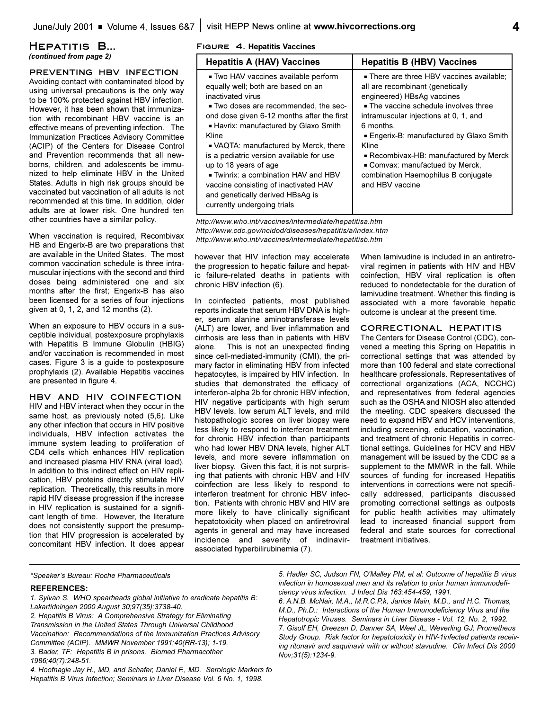#### **Hepatitis B...** *(continued from page 2)*

#### **PREVENTING HBV INFECTION**

Avoiding contact with contaminated blood by using universal precautions is the only way to be 100% protected against HBV infection. However, it has been shown that immunization with recombinant HBV vaccine is an effective means of preventing infection. The Immunization Practices Advisory Committee (ACIP) of the Centers for Disease Control and Prevention recommends that all newborns, children, and adolescents be immunized to help eliminate HBV in the United States. Adults in high risk groups should be vaccinated but vaccination of all adults is not recommended at this time. In addition, older adults are at lower risk. One hundred ten other countries have a similar policy.

When vaccination is required, Recombivax HB and Engerix-B are two preparations that are available in the United States. The most common vaccination schedule is three intramuscular injections with the second and third doses being administered one and six months after the first; Engerix-B has also been licensed for a series of four injections given at 0, 1, 2, and 12 months (2).

When an exposure to HBV occurs in a susceptible individual, postexposure prophylaxis with Hepatitis B Immune Globulin (HBIG) and/or vaccination is recommended in most cases. Figure 3 is a guide to postexposure prophylaxis (2). Available Hepatitis vaccines are presented in figure 4.

**HBV AND HIV COINFECTION** HIV and HBV interact when they occur in the same host, as previously noted (5,6). Like any other infection that occurs in HIV positive individuals, HBV infection activates the immune system leading to proliferation of CD4 cells which enhances HIV replication and increased plasma HIV RNA (viral load). In addition to this indirect effect on HIV replication, HBV proteins directly stimulate HIV replication. Theoretically, this results in more rapid HIV disease progression if the increase in HIV replication is sustained for a significant length of time. However, the literature does not consistently support the presumption that HIV progression is accelerated by concomitant HBV infection. It does appear

#### **Figure 4. Hepatitis Vaccines**

| <b>Hepatitis A (HAV) Vaccines</b>                                                                                                                                                                                                                                                                                                                                                                                                                                                                          | <b>Hepatitis B (HBV) Vaccines</b>                                                                                                                                                                                                                                                                                                                                                                |
|------------------------------------------------------------------------------------------------------------------------------------------------------------------------------------------------------------------------------------------------------------------------------------------------------------------------------------------------------------------------------------------------------------------------------------------------------------------------------------------------------------|--------------------------------------------------------------------------------------------------------------------------------------------------------------------------------------------------------------------------------------------------------------------------------------------------------------------------------------------------------------------------------------------------|
| ■ Two HAV vaccines available perform<br>equally well; both are based on an<br>inactivated virus<br>■ Two doses are recommended, the sec-<br>ond dose given 6-12 months after the first<br>- Havrix: manufactured by Glaxo Smith<br>Kline<br>• VAQTA: manufactured by Merck, there<br>is a pediatric version available for use<br>up to 18 years of age<br>■ Twinrix: a combination HAV and HBV<br>vaccine consisting of inactivated HAV<br>and genetically derived HBsAg is<br>currently undergoing trials | . There are three HBV vaccines available:<br>all are recombinant (genetically<br>engineered) HBsAg vaccines<br>• The vaccine schedule involves three<br>intramuscular injections at 0, 1, and<br>6 months.<br>Engerix-B: manufactured by Glaxo Smith<br>Kline<br>Recombivax-HB: manufactured by Merck<br>Comvax: manufactued by Merck,<br>combination Haemophilus B conjugate<br>and HBV vaccine |
|                                                                                                                                                                                                                                                                                                                                                                                                                                                                                                            |                                                                                                                                                                                                                                                                                                                                                                                                  |

*http://www.who.int/vaccines/intermediate/hepatitisa.htm http://www.cdc.gov/ncidod/diseases/hepatitis/a/index.htm http://www.who.int/vaccines/intermediate/hepatitisb.htm*

however that HIV infection may accelerate the progression to hepatic failure and hepatic failure-related deaths in patients with chronic HBV infection (6).

In coinfected patients, most published reports indicate that serum HBV DNA is higher, serum alanine aminotransferase levels (ALT) are lower, and liver inflammation and cirrhosis are less than in patients with HBV alone. This is not an unexpected finding since cell-mediated-immunity (CMI), the primary factor in eliminating HBV from infected hepatocytes, is impaired by HIV infection. In studies that demonstrated the efficacy of interferon-alpha 2b for chronic HBV infection, HIV negative participants with high serum HBV levels, low serum ALT levels, and mild histopathologic scores on liver biopsy were less likely to respond to interferon treatment for chronic HBV infection than participants who had lower HBV DNA levels, higher ALT levels, and more severe inflammation on liver biopsy. Given this fact, it is not surprising that patients with chronic HBV and HIV coinfection are less likely to respond to interferon treatment for chronic HBV infection. Patients with chronic HBV and HIV are more likely to have clinically significant hepatotoxicity when placed on antiretroviral agents in general and may have increased incidence and severity of indinavirassociated hyperbilirubinemia (7).

When lamivudine is included in an antiretroviral regimen in patients with HIV and HBV coinfection, HBV viral replication is often reduced to nondetectable for the duration of lamivudine treatment. Whether this finding is associated with a more favorable hepatic outcome is unclear at the present time.

#### **CORRECTIONAL HEPATITIS**

The Centers for Disease Control (CDC), convened a meeting this Spring on Hepatitis in correctional settings that was attended by more than 100 federal and state correctional healthcare professionals. Representatives of correctional organizations (ACA, NCCHC) and representatives from federal agencies such as the OSHA and NIOSH also attended the meeting. CDC speakers discussed the need to expand HBV and HCV interventions, including screening, education, vaccination, and treatment of chronic Hepatitis in correctional settings. Guidelines for HCV and HBV management will be issued by the CDC as a supplement to the MMWR in the fall. While sources of funding for increased Hepatitis interventions in corrections were not specifically addressed, participants discussed promoting correctional settings as outposts for public health activities may ultimately lead to increased financial support from federal and state sources for correctional treatment initiatives.

*\*Speakers Bureau: Roche Pharmaceuticals*

#### **REFERENCES:**

*5. Hadler SC, Judson FN, O'Malley PM, et al: Outcome of hepatitis B virus infection in homosexual men and its relation to prior human immunodeficiency virus infection. J Infect Dis 163:454-459, 1991.*

*6. A.N.B. McNair, M.A., M.R.C.P.k, Janice Main, M.D., and H.C. Thomas, M.D., Ph.D.: Interactions of the Human Immunodeficiency Virus and the Hepatotropic Viruses. Seminars in Liver Disease - Vol. 12, No. 2, 1992. 7. Gisolf EH, Dreezen D, Danner SA, Weel JL, Weverling GJ; Prometheus Study Group. Risk factor for hepatotoxicity in HIV-1infected patients receiving ritonavir and saquinavir with or without stavudine. Clin Infect Dis 2000 Nov;31(5):1234-9.*

*<sup>1.</sup> Sylvan S. WHO spearheads global initiative to eradicate hepatitis B: Lakartidningen 2000 August 30;97(35):3738-40.*

*<sup>2.</sup> Hepatitis B Virus: A Comprehensive Strategy for Eliminating Transmission in the United States Through Universal Childhood Vaccination: Recommendations of the Immunization Practices Advisory Committee (ACIP). MMWR November 1991;40(RR-13); 1-19. 3. Bader, TF: Hepatitis B in prisons. Biomed Pharmacother 1986;40(7):248-51.* 

*<sup>4.</sup> Hoofnagle Jay H., MD, and Schafer, Daniel F., MD. Serologic Markers fo Hepatitis B Virus Infection; Seminars in Liver Disease Vol. 6 No. 1, 1998.*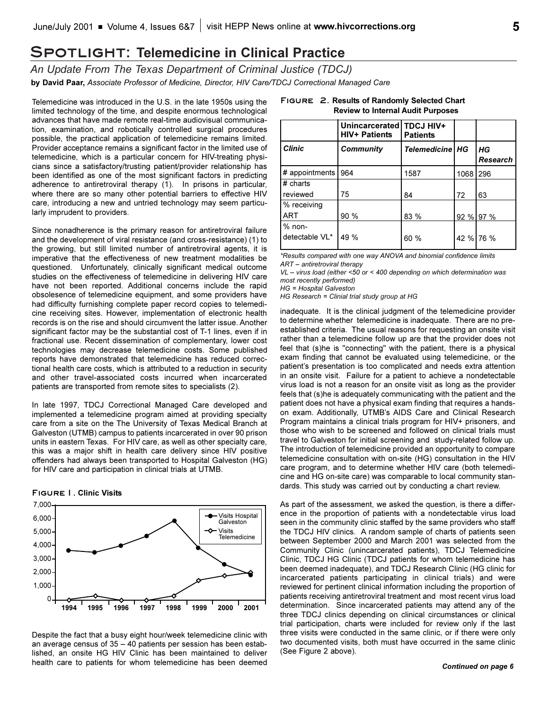### **Spotlight: Telemedicine in Clinical Practice**

*An Update From The Texas Department of Criminal Justice (TDCJ)* **by David Paar,** *Associate Professor of Medicine, Director, HIV Care/TDCJ Correctional Managed Care*

Telemedicine was introduced in the U.S. in the late 1950s using the limited technology of the time, and despite enormous technological advances that have made remote real-time audiovisual communication, examination, and robotically controlled surgical procedures possible, the practical application of telemedicine remains limited. Provider acceptance remains a significant factor in the limited use of telemedicine, which is a particular concern for HIV-treating physicians since a satisfactory/trusting patient/provider relationship has been identified as one of the most significant factors in predicting adherence to antiretroviral therapy (1). In prisons in particular, where there are so many other potential barriers to effective HIV care, introducing a new and untried technology may seem particularly imprudent to providers.

Since nonadherence is the primary reason for antiretroviral failure and the development of viral resistance (and cross-resistance) (1) to the growing, but still limited number of antiretroviral agents, it is imperative that the effectiveness of new treatment modalities be questioned. Unfortunately, clinically significant medical outcome studies on the effectiveness of telemedicine in delivering HIV care have not been reported. Additional concerns include the rapid obsolesence of telemedicine equipment, and some providers have had difficulty furnishing complete paper record copies to telemedicine receiving sites. However, implementation of electronic health records is on the rise and should circumvent the latter issue. Another significant factor may be the substantial cost of T-1 lines, even if in fractional use. Recent dissemination of complementary, lower cost technologies may decrease telemedicine costs. Some published reports have demonstrated that telemedicine has reduced correctional health care costs, which is attributed to a reduction in security and other travel-associated costs incurred when incarcerated patients are transported from remote sites to specialists (2).

In late 1997, TDCJ Correctional Managed Care developed and implemented a telemedicine program aimed at providing specialty care from a site on the The University of Texas Medical Branch at Galveston (UTMB) campus to patients incarcerated in over 90 prison units in eastern Texas. For HIV care, as well as other specialty care, this was a major shift in health care delivery since HIV positive offenders had always been transported to Hospital Galveston (HG) for HIV care and participation in clinical trials at UTMB.

#### **Figure1. Clinic Visits**



Despite the fact that a busy eight hour/week telemedicine clinic with an average census of  $35 - 40$  patients per session has been established, an onsite HG HIV Clinic has been maintained to deliver health care to patients for whom telemedicine has been deemed

|                            | Unincarcerated   TDCJ HIV+<br><b>HIV+ Patients</b> | <b>Patients</b>   |      |                |
|----------------------------|----------------------------------------------------|-------------------|------|----------------|
| <b>Clinic</b>              | <b>Community</b>                                   | Telemedicine   HG |      | HG<br>Research |
| # appointments             | 964                                                | 1587              | 1068 | 296            |
| # charts                   |                                                    |                   |      |                |
| <b>I</b> reviewed          | 75                                                 | 84                | 72   | 63             |
| % receiving                |                                                    |                   |      |                |
| IART                       | 90 %                                               | 83 %              |      | 92 % 97 %      |
| $%$ non-<br>detectable VL* | 49 %                                               | 60 %              |      | 42 % 76 %      |

#### **Figure 2. Results of Randomly Selected Chart Review to Internal Audit Purposes**

*\*Results compared with one way ANOVA and binomial confidence limits ART antiretroviral therapy*

*VL virus load (either <50 or < 400 depending on which determination was most recently performed)*

*HG = Hospital Galveston* 

*HG Research = Clinial trial study group at HG*

inadequate. It is the clinical judgment of the telemedicine provider to determine whether telemedicine is inadequate. There are no preestablished criteria. The usual reasons for requesting an onsite visit rather than a telemedicine follow up are that the provider does not feel that (s)he is "connecting" with the patient, there is a physical exam finding that cannot be evaluated using telemedicine, or the patient's presentation is too complicated and needs extra attention in an onsite visit. Failure for a patient to achieve a nondetectable virus load is not a reason for an onsite visit as long as the provider feels that (s)he is adequately communicating with the patient and the patient does not have a physical exam finding that requires a handson exam. Additionally, UTMB's AIDS Care and Clinical Research Program maintains a clinical trials program for HIV+ prisoners, and those who wish to be screened and followed on clinical trials must travel to Galveston for initial screening and study-related follow up. The introduction of telemedicine provided an opportunity to compare telemedicine consultation with on-site (HG) consultation in the HIV care program, and to determine whether HIV care (both telemedicine and HG on-site care) was comparable to local community standards. This study was carried out by conducting a chart review.

As part of the assessment, we asked the question, is there a difference in the proportion of patients with a nondetectable virus load seen in the community clinic staffed by the same providers who staff the TDCJ HIV clinics. A random sample of charts of patients seen between September 2000 and March 2001 was selected from the Community Clinic (unincarcerated patients), TDCJ Telemedicine Clinic, TDCJ HG Clinic (TDCJ patients for whom telemedicine has been deemed inadequate), and TDCJ Research Clinic (HG clinic for incarcerated patients participating in clinical trials) and were reviewed for pertinent clinical information including the proportion of patients receiving antiretroviral treatment and most recent virus load determination. Since incarcerated patients may attend any of the three TDCJ clinics depending on clinical circumstances or clinical trial participation, charts were included for review only if the last three visits were conducted in the same clinic, or if there were only two documented visits, both must have occurred in the same clinic (See Figure 2 above).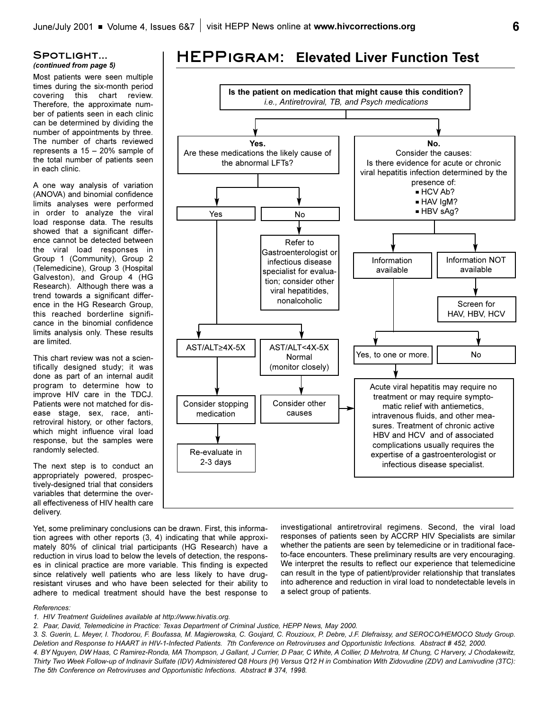#### **Spotlight...** *(continued from page 5)*

Most patients were seen multiple times during the six-month period covering this chart review. Therefore, the approximate number of patients seen in each clinic can be determined by dividing the number of appointments by three. The number of charts reviewed represents a  $15 - 20%$  sample of the total number of patients seen in each clinic.

A one way analysis of variation (ANOVA) and binomial confidence limits analyses were performed in order to analyze the viral load response data. The results showed that a significant difference cannot be detected between the viral load responses in Group 1 (Community), Group 2 (Telemedicine), Group 3 (Hospital Galveston), and Group 4 (HG Research). Although there was a trend towards a significant difference in the HG Research Group, this reached borderline significance in the binomial confidence limits analysis only. These results are limited.

This chart review was not a scientifically designed study; it was done as part of an internal audit program to determine how to improve HIV care in the TDCJ. Patients were not matched for disease stage, sex, race, antiretroviral history, or other factors, which might influence viral load response, but the samples were randomly selected.

The next step is to conduct an appropriately powered, prospectively-designed trial that considers variables that determine the overall effectiveness of HIV health care delivery.

Yet, some preliminary conclusions can be drawn. First, this information agrees with other reports (3, 4) indicating that while approximately 80% of clinical trial participants (HG Research) have a reduction in virus load to below the levels of detection, the responses in clinical practice are more variable. This finding is expected since relatively well patients who are less likely to have drugresistant viruses and who have been selected for their ability to adhere to medical treatment should have the best response to investigational antiretroviral regimens. Second, the viral load responses of patients seen by ACCRP HIV Specialists are similar whether the patients are seen by telemedicine or in traditional faceto-face encounters. These preliminary results are very encouraging. We interpret the results to reflect our experience that telemedicine can result in the type of patient/provider relationship that translates into adherence and reduction in viral load to nondetectable levels in a select group of patients.

#### *References:*

*1. HIV Treatment Guidelines available at http://www.hivatis.org.*

*2. Paar, David, Telemedicine in Practice: Texas Department of Criminal Justice, HEPP News, May 2000.*

*3. S. Guerin, L. Meyer, I. Thodorou, F. Boufassa, M. Magierowska, C. Goujard, C. Rouzioux, P. Debre, J.F. Dlefraissy, and SEROCO/HEMOCO Study Group. Deletion and Response to HAART in HIV-1-Infected Patients. 7th Conference on Retroviruses and Opportunistic Infections. Abstract # 452, 2000. 4. BY Nguyen, DW Haas, C Ramirez-Ronda, MA Thompson, J Gallant, J Currier, D Paar, C White, A Collier, D Mehrotra, M Chung, C Harvery, J Chodakewitz, Thirty Two Week Follow-up of Indinavir Sulfate (IDV) Administered Q8 Hours (H) Versus Q12 H in Combination With Zidovudine (ZDV) and Lamivudine (3TC): The 5th Conference on Retroviruses and Opportunistic Infections. Abstract # 374, 1998.*

### **HEPPigram: Elevated Liver Function Test**

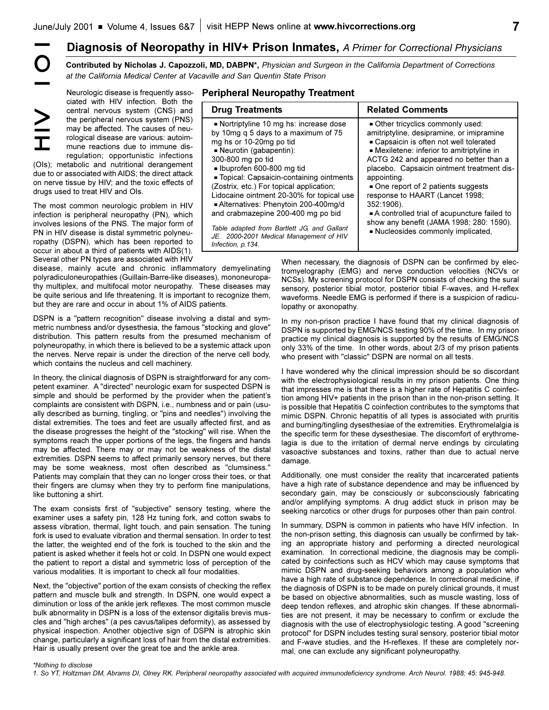#### **Peripheral Neuropathy Treatment**

|                                                                                                                                                                                                                                                                                                                                                                                                                                                                                                                                                                                                                                                                                                                                                                                                                                                                                                                                                                                                                                                                                                                                                                                                                                                  |                                                                                                                                                                                                                                                                                                                                                                                                         |                                                                                                                                                                                                                                                                                                                                                                                                                                                                                                                        |                                                                                                                                                                                                                                                                                                                                                                                                                                                                                                                                                                                                                                                                                                                                                                                                                                                                                                                                                                                                                                                                                                                                          | Diagnosis of Neoropathy in HIV+ Prison Inmates, A Primer for Correctional Physicians                                                                                                                                                                                                                                                                         |                                                                                                                                                                                                                                                                                                                                                                                                                                                                                                                                                                                                                                                                                                                                                                                                                                                                                                                                                                                                                                                                                                                                                                                                                                                                                                                                                                                                  |
|--------------------------------------------------------------------------------------------------------------------------------------------------------------------------------------------------------------------------------------------------------------------------------------------------------------------------------------------------------------------------------------------------------------------------------------------------------------------------------------------------------------------------------------------------------------------------------------------------------------------------------------------------------------------------------------------------------------------------------------------------------------------------------------------------------------------------------------------------------------------------------------------------------------------------------------------------------------------------------------------------------------------------------------------------------------------------------------------------------------------------------------------------------------------------------------------------------------------------------------------------|---------------------------------------------------------------------------------------------------------------------------------------------------------------------------------------------------------------------------------------------------------------------------------------------------------------------------------------------------------------------------------------------------------|------------------------------------------------------------------------------------------------------------------------------------------------------------------------------------------------------------------------------------------------------------------------------------------------------------------------------------------------------------------------------------------------------------------------------------------------------------------------------------------------------------------------|------------------------------------------------------------------------------------------------------------------------------------------------------------------------------------------------------------------------------------------------------------------------------------------------------------------------------------------------------------------------------------------------------------------------------------------------------------------------------------------------------------------------------------------------------------------------------------------------------------------------------------------------------------------------------------------------------------------------------------------------------------------------------------------------------------------------------------------------------------------------------------------------------------------------------------------------------------------------------------------------------------------------------------------------------------------------------------------------------------------------------------------|--------------------------------------------------------------------------------------------------------------------------------------------------------------------------------------------------------------------------------------------------------------------------------------------------------------------------------------------------------------|--------------------------------------------------------------------------------------------------------------------------------------------------------------------------------------------------------------------------------------------------------------------------------------------------------------------------------------------------------------------------------------------------------------------------------------------------------------------------------------------------------------------------------------------------------------------------------------------------------------------------------------------------------------------------------------------------------------------------------------------------------------------------------------------------------------------------------------------------------------------------------------------------------------------------------------------------------------------------------------------------------------------------------------------------------------------------------------------------------------------------------------------------------------------------------------------------------------------------------------------------------------------------------------------------------------------------------------------------------------------------------------------------|
|                                                                                                                                                                                                                                                                                                                                                                                                                                                                                                                                                                                                                                                                                                                                                                                                                                                                                                                                                                                                                                                                                                                                                                                                                                                  | at the California Medical Center at Vacaville and San Quentin State Prison                                                                                                                                                                                                                                                                                                                              |                                                                                                                                                                                                                                                                                                                                                                                                                                                                                                                        |                                                                                                                                                                                                                                                                                                                                                                                                                                                                                                                                                                                                                                                                                                                                                                                                                                                                                                                                                                                                                                                                                                                                          | Contributed by Nicholas J. Capozzoli, MD, DABPN*, Physician and Surgeon in the California Department of Corrections                                                                                                                                                                                                                                          |                                                                                                                                                                                                                                                                                                                                                                                                                                                                                                                                                                                                                                                                                                                                                                                                                                                                                                                                                                                                                                                                                                                                                                                                                                                                                                                                                                                                  |
|                                                                                                                                                                                                                                                                                                                                                                                                                                                                                                                                                                                                                                                                                                                                                                                                                                                                                                                                                                                                                                                                                                                                                                                                                                                  | Neurologic disease is frequently asso-<br>ciated with HIV infection. Both the                                                                                                                                                                                                                                                                                                                           | <b>Peripheral Neuropathy Treatment</b>                                                                                                                                                                                                                                                                                                                                                                                                                                                                                 |                                                                                                                                                                                                                                                                                                                                                                                                                                                                                                                                                                                                                                                                                                                                                                                                                                                                                                                                                                                                                                                                                                                                          |                                                                                                                                                                                                                                                                                                                                                              |                                                                                                                                                                                                                                                                                                                                                                                                                                                                                                                                                                                                                                                                                                                                                                                                                                                                                                                                                                                                                                                                                                                                                                                                                                                                                                                                                                                                  |
| central nervous system (CNS) and<br>$\geq$<br>the peripheral nervous system (PNS)<br>may be affected. The causes of neu-<br>rological disease are various: autoim-<br>工<br>mune reactions due to immune dis-<br>regulation; opportunistic infections<br>(OIs); metabolic and nutritional derangement<br>due to or associated with AIDS; the direct attack<br>on nerve tissue by HIV; and the toxic effects of<br>drugs used to treat HIV and OIs.<br>The most common neurologic problem in HIV<br>infection is peripheral neuropathy (PN), which<br>involves lesions of the PNS. The major form of<br>PN in HIV disease is distal symmetric polyneu-<br>ropathy (DSPN), which has been reported to<br>occur in about a third of patients with AIDS(1).                                                                                                                                                                                                                                                                                                                                                                                                                                                                                           |                                                                                                                                                                                                                                                                                                                                                                                                         | <b>Drug Treatments</b>                                                                                                                                                                                                                                                                                                                                                                                                                                                                                                 |                                                                                                                                                                                                                                                                                                                                                                                                                                                                                                                                                                                                                                                                                                                                                                                                                                                                                                                                                                                                                                                                                                                                          | <b>Related Comments</b>                                                                                                                                                                                                                                                                                                                                      |                                                                                                                                                                                                                                                                                                                                                                                                                                                                                                                                                                                                                                                                                                                                                                                                                                                                                                                                                                                                                                                                                                                                                                                                                                                                                                                                                                                                  |
|                                                                                                                                                                                                                                                                                                                                                                                                                                                                                                                                                                                                                                                                                                                                                                                                                                                                                                                                                                                                                                                                                                                                                                                                                                                  |                                                                                                                                                                                                                                                                                                                                                                                                         | Nortriptyline 10 mg hs: increase dose<br>by 10mg q 5 days to a maximum of 75<br>mg hs or 10-20mg po tid<br>- Neurotin (gabapentin):<br>300-800 mg po tid<br>■ Ibuprofen 600-800 mg tid<br>Topical: Capsaicin-containing ointments<br>(Zostrix, etc.) For topical application;<br>Lidocaine ointment 20-30% for topical use<br>Alternatives: Phenytoin 200-400mg/d<br>and crabmazepine 200-400 mg po bid<br>Table adapted from Bartlett JG, and Gallant<br>JE. 2000-2001 Medical Management of HIV<br>Infection, p.134. |                                                                                                                                                                                                                                                                                                                                                                                                                                                                                                                                                                                                                                                                                                                                                                                                                                                                                                                                                                                                                                                                                                                                          | Other tricyclics commonly used:<br>amitriptyline, desipramine, or imipramine<br>- Capsaicin is often not well tolerated<br>- Mexiletene: inferior to amitriptyline in<br>ACTG 242 and appeared no better than a<br>placebo. Capsaicin ointment treatment dis-<br>appointing.<br>One report of 2 patients suggests<br>response to HAART (Lancet 1998;         |                                                                                                                                                                                                                                                                                                                                                                                                                                                                                                                                                                                                                                                                                                                                                                                                                                                                                                                                                                                                                                                                                                                                                                                                                                                                                                                                                                                                  |
|                                                                                                                                                                                                                                                                                                                                                                                                                                                                                                                                                                                                                                                                                                                                                                                                                                                                                                                                                                                                                                                                                                                                                                                                                                                  |                                                                                                                                                                                                                                                                                                                                                                                                         |                                                                                                                                                                                                                                                                                                                                                                                                                                                                                                                        |                                                                                                                                                                                                                                                                                                                                                                                                                                                                                                                                                                                                                                                                                                                                                                                                                                                                                                                                                                                                                                                                                                                                          | 352:1906).<br>A controlled trial of acupuncture failed to<br>show any benefit (JAMA 1998; 280: 1590).<br>- Nucleosides commonly implicated,                                                                                                                                                                                                                  |                                                                                                                                                                                                                                                                                                                                                                                                                                                                                                                                                                                                                                                                                                                                                                                                                                                                                                                                                                                                                                                                                                                                                                                                                                                                                                                                                                                                  |
|                                                                                                                                                                                                                                                                                                                                                                                                                                                                                                                                                                                                                                                                                                                                                                                                                                                                                                                                                                                                                                                                                                                                                                                                                                                  | Several other PN types are associated with HIV<br>disease, mainly acute and chronic inflammatory demyelinating<br>polyradiculoneuropathies (Guillain-Barre-like diseases), mononeuropa-<br>thy multiplex, and multifocal motor neuropathy. These diseases may<br>be quite serious and life threatening. It is important to recognize them,<br>but they are rare and occur in about 1% of AIDS patients. |                                                                                                                                                                                                                                                                                                                                                                                                                                                                                                                        | lopathy or axonopathy.                                                                                                                                                                                                                                                                                                                                                                                                                                                                                                                                                                                                                                                                                                                                                                                                                                                                                                                                                                                                                                                                                                                   | When necessary, the diagnosis of DSPN can be confirmed by elec-<br>tromyelography (EMG) and nerve conduction velocities (NCVs or<br>NCSs). My screening protocol for DSPN consists of checking the sural<br>sensory, posterior tibial motor, posterior tibial F-waves, and H-reflex<br>waveforms. Needle EMG is performed if there is a suspicion of radicu- |                                                                                                                                                                                                                                                                                                                                                                                                                                                                                                                                                                                                                                                                                                                                                                                                                                                                                                                                                                                                                                                                                                                                                                                                                                                                                                                                                                                                  |
| DSPN is a "pattern recognition" disease involving a distal and sym-<br>metric numbness and/or dysesthesia, the famous "stocking and glove"<br>distribution. This pattern results from the presumed mechanism of<br>polyneuropathy, in which there is believed to be a systemic attack upon<br>the nerves. Nerve repair is under the direction of the nerve cell body,<br>which contains the nucleus and cell machinery.<br>In theory, the clinical diagnosis of DSPN is straightforward for any com-<br>petent examiner. A "directed" neurologic exam for suspected DSPN is<br>simple and should be performed by the provider when the patient's<br>complaints are consistent with DSPN, i.e., numbness and or pain (usu-<br>ally described as burning, tingling, or "pins and needles") involving the<br>distal extremities. The toes and feet are usually affected first, and as<br>the disease progresses the height of the "stocking" will rise. When the<br>symptoms reach the upper portions of the legs, the fingers and hands<br>may be affected. There may or may not be weakness of the distal<br>extremities. DSPN seems to affect primarily sensory nerves, but there<br>may be some weakness, most often described as "clumsiness." |                                                                                                                                                                                                                                                                                                                                                                                                         |                                                                                                                                                                                                                                                                                                                                                                                                                                                                                                                        | In my non-prison practice I have found that my clinical diagnosis of<br>DSPN is supported by EMG/NCS testing 90% of the time. In my prison<br>practice my clinical diagnosis is supported by the results of EMG/NCS<br>only 33% of the time. In other words, about 2/3 of my prison patients<br>who present with "classic" DSPN are normal on all tests.<br>I have wondered why the clinical impression should be so discordant<br>with the electrophysiological results in my prison patients. One thing<br>that impresses me is that there is a higher rate of Hepatitis C coinfec-<br>tion among HIV+ patients in the prison than in the non-prison setting. If<br>is possible that Hepatitis C coinfection contributes to the symptoms that<br>mimic DSPN. Chronic hepatitis of all types is associated with pruritis<br>and burning/tingling dysesthesiae of the extremities. Erythromelalgia is<br>the specific term for these dysesthesiae. The discomfort of erythrome-<br>lagia is due to the irritation of dermal nerve endings by circulating<br>vasoactive substances and toxins, rather than due to actual nerve<br>damage. |                                                                                                                                                                                                                                                                                                                                                              |                                                                                                                                                                                                                                                                                                                                                                                                                                                                                                                                                                                                                                                                                                                                                                                                                                                                                                                                                                                                                                                                                                                                                                                                                                                                                                                                                                                                  |
|                                                                                                                                                                                                                                                                                                                                                                                                                                                                                                                                                                                                                                                                                                                                                                                                                                                                                                                                                                                                                                                                                                                                                                                                                                                  |                                                                                                                                                                                                                                                                                                                                                                                                         |                                                                                                                                                                                                                                                                                                                                                                                                                                                                                                                        |                                                                                                                                                                                                                                                                                                                                                                                                                                                                                                                                                                                                                                                                                                                                                                                                                                                                                                                                                                                                                                                                                                                                          |                                                                                                                                                                                                                                                                                                                                                              | Patients may complain that they can no longer cross their toes, or that<br>their fingers are clumsy when they try to perform fine manipulations,<br>like buttoning a shirt.<br>The exam consists first of "subjective" sensory testing, where the<br>examiner uses a safety pin, 128 Hz tuning fork, and cotton swabs to<br>assess vibration, thermal, light touch, and pain sensation. The tuning<br>fork is used to evaluate vibration and thermal sensation. In order to test<br>the latter, the weighted end of the fork is touched to the skin and the<br>patient is asked whether it feels hot or cold. In DSPN one would expect<br>the patient to report a distal and symmetric loss of perception of the<br>various modalities. It is important to check all four modalities.<br>Next, the "objective" portion of the exam consists of checking the reflex<br>pattern and muscle bulk and strength. In DSPN, one would expect a<br>diminution or loss of the ankle jerk reflexes. The most common muscle<br>bulk abnormality in DSPN is a loss of the extensor digitalis brevis mus-<br>cles and "high arches" (a pes cavus/talipes deformity), as assessed by<br>physical inspection. Another objective sign of DSPN is atrophic skin<br>change, particularly a significant loss of hair from the distal extremities.<br>Hair is usually present over the great toe and the ankle area. |
| In summary, DSPN is common in patients who have HIV infection. In<br>the non-prison setting, this diagnosis can usually be confirmed by tak-<br>ing an appropriate history and performing a directed neurological<br>examination. In correctional medicine, the diagnosis may be compli-<br>cated by coinfections such as HCV which may cause symptoms that<br>mimic DSPN and drug-seeking behaviors among a population who<br>have a high rate of substance dependence. In correctional medicine, if<br>the diagnosis of DSPN is to be made on purely clinical grounds, it must<br>be based on objective abnormalities, such as muscle wasting, loss of<br>deep tendon reflexes, and atrophic skin changes. If these abnormali-<br>ties are not present, it may be necessary to confirm or exclude the<br>diagnosis with the use of electrophysiologic testing. A good "screening<br>protocol" for DSPN includes testing sural sensory, posterior tibial motor<br>and F-wave studies, and the H-reflexes. If these are completely nor-<br>mal, one can exclude any significant polyneuropathy.                                                                                                                                                  |                                                                                                                                                                                                                                                                                                                                                                                                         |                                                                                                                                                                                                                                                                                                                                                                                                                                                                                                                        |                                                                                                                                                                                                                                                                                                                                                                                                                                                                                                                                                                                                                                                                                                                                                                                                                                                                                                                                                                                                                                                                                                                                          |                                                                                                                                                                                                                                                                                                                                                              |                                                                                                                                                                                                                                                                                                                                                                                                                                                                                                                                                                                                                                                                                                                                                                                                                                                                                                                                                                                                                                                                                                                                                                                                                                                                                                                                                                                                  |
|                                                                                                                                                                                                                                                                                                                                                                                                                                                                                                                                                                                                                                                                                                                                                                                                                                                                                                                                                                                                                                                                                                                                                                                                                                                  |                                                                                                                                                                                                                                                                                                                                                                                                         |                                                                                                                                                                                                                                                                                                                                                                                                                                                                                                                        | *Nothing to disclose                                                                                                                                                                                                                                                                                                                                                                                                                                                                                                                                                                                                                                                                                                                                                                                                                                                                                                                                                                                                                                                                                                                     |                                                                                                                                                                                                                                                                                                                                                              |                                                                                                                                                                                                                                                                                                                                                                                                                                                                                                                                                                                                                                                                                                                                                                                                                                                                                                                                                                                                                                                                                                                                                                                                                                                                                                                                                                                                  |

#### *\*Nothing to disclose*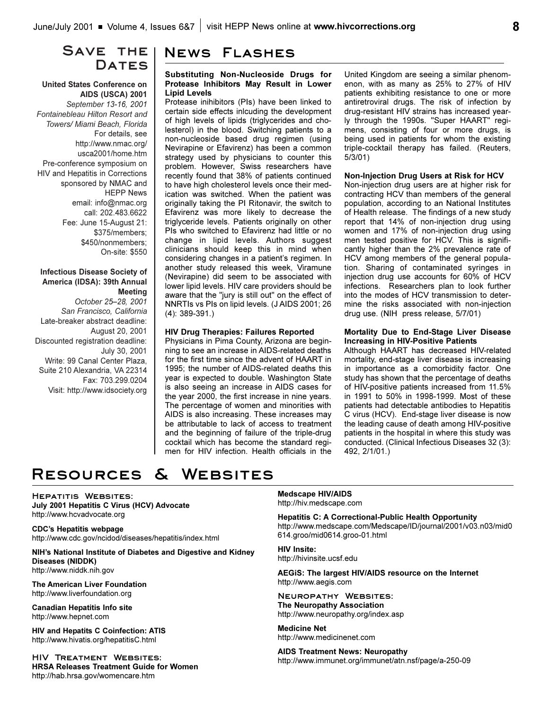### SAVE THE | DATES

#### **United States Conference on AIDS (USCA) 2001**

*September 13-16, 2001 Fontainebleau Hilton Resort and Towers/ Miami Beach, Florida* For details, see http://www.nmac.org/ usca2001/home.htm Pre-conference symposium on HIV and Hepatitis in Corrections sponsored by NMAC and HEPP News email: info@nmac.org call: 202.483.6622 Fee: June 15-August 21: \$375/members; \$450/nonmembers; On-site: \$550

#### **Infectious Disease Society of America (IDSA): 39th Annual Meeting**

*October 2528, 2001 San Francisco, California* Late-breaker abstract deadline: August 20, 2001 Discounted registration deadline: July 30, 2001 Write: 99 Canal Center Plaza, Suite 210 Alexandria, VA 22314 Fax: 703.299.0204 Visit: http://www.idsociety.org

### **News Flashes**

#### **Substituting Non-Nucleoside Drugs for Protease Inhibitors May Result in Lower Lipid Levels**

Protease inihibitors (PIs) have been linked to certain side effects inlcuding the development of high levels of lipids (triglycerides and cholesterol) in the blood. Switching patients to a non-nucleoside based drug regimen (using Nevirapine or Efavirenz) has been a common strategy used by physicians to counter this problem. However, Swiss researchers have recently found that 38% of patients continued to have high cholesterol levels once their medication was switched. When the patient was originally taking the PI Ritonavir, the switch to Efavirenz was more likely to decrease the triglyceride levels. Patients originally on other PIs who switched to Efavirenz had little or no change in lipid levels. Authors suggest clinicians should keep this in mind when considering changes in a patient's regimen. In another study released this week, Viramune (Nevirapine) did seem to be associated with lower lipid levels. HIV care providers should be aware that the "jury is still out" on the effect of NNRTIs vs PIs on lipid levels. (J AIDS 2001; 26 (4): 389-391.)

#### **HIV Drug Therapies: Failures Reported**

Physicians in Pima County, Arizona are beginning to see an increase in AIDS-related deaths for the first time since the advent of HAART in 1995; the number of AIDS-related deaths this year is expected to double. Washington State is also seeing an increase in AIDS cases for the year 2000, the first increase in nine years. The percentage of women and minorities with AIDS is also increasing. These increases may be attributable to lack of access to treatment and the beginning of failure of the triple-drug cocktail which has become the standard regimen for HIV infection. Health officials in the United Kingdom are seeing a similar phenomenon, with as many as 25% to 27% of HIV patients exhibiting resistance to one or more antiretroviral drugs. The risk of infection by drug-resistant HIV strains has increased yearly through the 1990s. "Super HAART" regimens, consisting of four or more drugs, is being used in patients for whom the existing triple-cocktail therapy has failed. (Reuters, 5/3/01)

#### **Non-Injection Drug Users at Risk for HCV**

Non-injection drug users are at higher risk for contracting HCV than members of the general population, according to an National Institutes of Health release. The findings of a new study report that 14% of non-injection drug using women and 17% of non-injection drug using men tested positive for HCV. This is significantly higher than the 2% prevalence rate of HCV among members of the general population. Sharing of contaminated syringes in injection drug use accounts for 60% of HCV infections. Researchers plan to look further into the modes of HCV transmission to determine the risks associated with non-injection drug use. (NIH press release, 5/7/01)

#### **Mortality Due to End-Stage Liver Disease Increasing in HIV-Positive Patients**

Although HAART has decreased HIV-related mortality, end-stage liver disease is increasing in importance as a comorbidity factor. One study has shown that the percentage of deaths of HIV-positive patients increased from 11.5% in 1991 to 50% in 1998-1999. Most of these patients had detectable antibodies to Hepatitis C virus (HCV). End-stage liver disease is now the leading cause of death among HIV-positive patients in the hospital in where this study was conducted. (Clinical Infectious Diseases 32 (3): 492, 2/1/01.)

# **Resources & Websites**

**Hepatitis Websites: July 2001 Hepatitis C Virus (HCV) Advocate** http://www.hcvadvocate.org

**CDCs Hepatitis webpage** http://www.cdc.gov/ncidod/diseases/hepatitis/index.html

**NIH's National Institute of Diabetes and Digestive and Kidney Diseases (NIDDK)** http://www.niddk.nih.gov

**The American Liver Foundation** http://www.liverfoundation.org

**Canadian Hepatitis Info site** http://www.hepnet.com

**HIV and Hepatits C Coinfection: ATIS** http://www.hivatis.org/hepatitisC.html

**HIV Treatment Websites: HRSA Releases Treatment Guide for Women** http://hab.hrsa.gov/womencare.htm

#### **Medscape HIV/AIDS** http://hiv.medscape.com

**Hepatitis C: A Correctional-Public Health Opportunity** http://www.medscape.com/Medscape/ID/journal/2001/v03.n03/mid0 614.groo/mid0614.groo-01.html

**HIV Insite:** http://hivinsite.ucsf.edu

**AEGiS: The largest HIV/AIDS resource on the Internet** http://www.aegis.com

**Neuropathy Websites: The Neuropathy Association** http://www.neuropathy.org/index.asp

**Medicine Net** http://www.medicinenet.com

**AIDS Treatment News: Neuropathy** http://www.immunet.org/immunet/atn.nsf/page/a-250-09